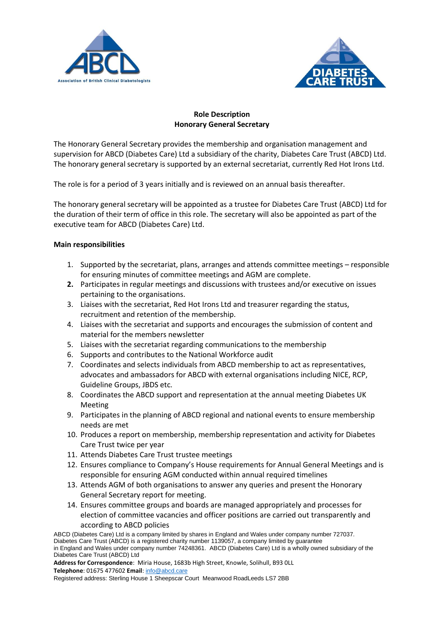



## **Role Description Honorary General Secretary**

The Honorary General Secretary provides the membership and organisation management and supervision for ABCD (Diabetes Care) Ltd a subsidiary of the charity, Diabetes Care Trust (ABCD) Ltd. The honorary general secretary is supported by an external secretariat, currently Red Hot Irons Ltd.

The role is for a period of 3 years initially and is reviewed on an annual basis thereafter.

The honorary general secretary will be appointed as a trustee for Diabetes Care Trust (ABCD) Ltd for the duration of their term of office in this role. The secretary will also be appointed as part of the executive team for ABCD (Diabetes Care) Ltd.

## **Main responsibilities**

- 1. Supported by the secretariat, plans, arranges and attends committee meetings responsible for ensuring minutes of committee meetings and AGM are complete.
- **2.** Participates in regular meetings and discussions with trustees and/or executive on issues pertaining to the organisations.
- 3. Liaises with the secretariat, Red Hot Irons Ltd and treasurer regarding the status, recruitment and retention of the membership.
- 4. Liaises with the secretariat and supports and encourages the submission of content and material for the members newsletter
- 5. Liaises with the secretariat regarding communications to the membership
- 6. Supports and contributes to the National Workforce audit
- 7. Coordinates and selects individuals from ABCD membership to act as representatives, advocates and ambassadors for ABCD with external organisations including NICE, RCP, Guideline Groups, JBDS etc.
- 8. Coordinates the ABCD support and representation at the annual meeting Diabetes UK Meeting
- 9. Participates in the planning of ABCD regional and national events to ensure membership needs are met
- 10. Produces a report on membership, membership representation and activity for Diabetes Care Trust twice per year
- 11. Attends Diabetes Care Trust trustee meetings
- 12. Ensures compliance to Company's House requirements for Annual General Meetings and is responsible for ensuring AGM conducted within annual required timelines
- 13. Attends AGM of both organisations to answer any queries and present the Honorary General Secretary report for meeting.
- 14. Ensures committee groups and boards are managed appropriately and processes for election of committee vacancies and officer positions are carried out transparently and according to ABCD policies

ABCD (Diabetes Care) Ltd is a company limited by shares in England and Wales under company number 727037. Diabetes Care Trust (ABCD) is a registered charity number 1139057, a company limited by guarantee in England and Wales under company number 74248361. ABCD (Diabetes Care) Ltd is a wholly owned subsidiary of the Diabetes Care Trust (ABCD) Ltd

**Address for Correspondence**: Miria House, 1683b High Street, Knowle, Solihull, B93 0LL **Telephone**: 01675 477602 **Email**: [info@abcd.care](mailto:info@abcd.care)

Registered address: Sterling House 1 Sheepscar Court Meanwood RoadLeeds LS7 2BB